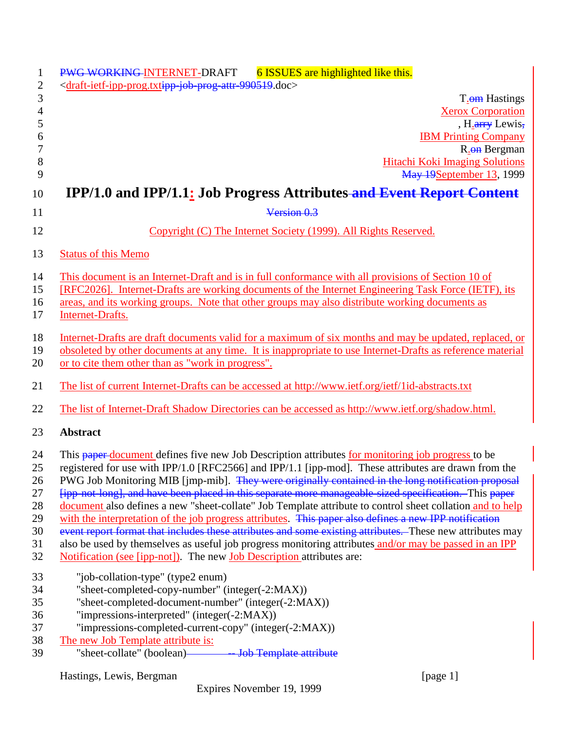| PWG WORKING-INTERNET-DRAFT<br>6 ISSUES are highlighted like this.                                                                                                                                                   |
|---------------------------------------------------------------------------------------------------------------------------------------------------------------------------------------------------------------------|
| <draft-ietf-ipp-prog.txtipp-job-prog-attr-990519.doc></draft-ietf-ipp-prog.txtipp-job-prog-attr-990519.doc>                                                                                                         |
| T <sub>.</sub> om Hastings<br><b>Xerox Corporation</b>                                                                                                                                                              |
| , H <sub>.arry</sub> Lewis,                                                                                                                                                                                         |
| <b>IBM Printing Company</b>                                                                                                                                                                                         |
| R <sub>.</sub> on Bergman                                                                                                                                                                                           |
| <b>Hitachi Koki Imaging Solutions</b>                                                                                                                                                                               |
| May 19September 13, 1999                                                                                                                                                                                            |
| <b>IPP/1.0 and IPP/1.1: Job Progress Attributes-and Event Report Content</b>                                                                                                                                        |
| Version 0.3                                                                                                                                                                                                         |
| Copyright (C) The Internet Society (1999). All Rights Reserved.                                                                                                                                                     |
| <b>Status of this Memo</b>                                                                                                                                                                                          |
| This document is an Internet-Draft and is in full conformance with all provisions of Section 10 of                                                                                                                  |
| [RFC2026]. Internet-Drafts are working documents of the Internet Engineering Task Force (IETF), its                                                                                                                 |
| areas, and its working groups. Note that other groups may also distribute working documents as                                                                                                                      |
| Internet-Drafts.                                                                                                                                                                                                    |
| Internet-Drafts are draft documents valid for a maximum of six months and may be updated, replaced, or                                                                                                              |
| obsoleted by other documents at any time. It is inappropriate to use Internet-Drafts as reference material                                                                                                          |
| or to cite them other than as "work in progress".                                                                                                                                                                   |
| The list of current Internet-Drafts can be accessed at http://www.ietf.org/ietf/1id-abstracts.txt                                                                                                                   |
| The list of Internet-Draft Shadow Directories can be accessed as http://www.ietf.org/shadow.html.                                                                                                                   |
| <b>Abstract</b>                                                                                                                                                                                                     |
| This paper-document defines five new Job Description attributes for monitoring job progress to be                                                                                                                   |
| registered for use with IPP/1.0 [RFC2566] and IPP/1.1 [ipp-mod]. These attributes are drawn from the                                                                                                                |
| PWG Job Monitoring MIB [jmp-mib]. They were originally contained in the long notification proposal                                                                                                                  |
| [ipp-not-long], and have been placed in this separate more manageable-sized specification. This paper                                                                                                               |
| document also defines a new "sheet-collate" Job Template attribute to control sheet collation and to help                                                                                                           |
| with the interpretation of the job progress attributes. This paper also defines a new IPP notification                                                                                                              |
| event report format that includes these attributes and some existing attributes. These new attributes may<br>also be used by themselves as useful job progress monitoring attributes and/or may be passed in an IPP |
| <b>Notification (see [ipp-not])</b> . The new <b>Job Description</b> attributes are:                                                                                                                                |
|                                                                                                                                                                                                                     |
| "job-collation-type" (type2 enum)<br>"sheet-completed-copy-number" (integer(-2:MAX))                                                                                                                                |
| "sheet-completed-document-number" (integer(-2:MAX))                                                                                                                                                                 |
| "impressions-interpreted" (integer(-2:MAX))                                                                                                                                                                         |
| "impressions-completed-current-copy" (integer(-2:MAX))                                                                                                                                                              |
| The new Job Template attribute is:                                                                                                                                                                                  |
| "sheet-collate" (boolean)-<br>- Job Template attribute                                                                                                                                                              |
| Hastings, Lewis, Bergman<br>[page 1]                                                                                                                                                                                |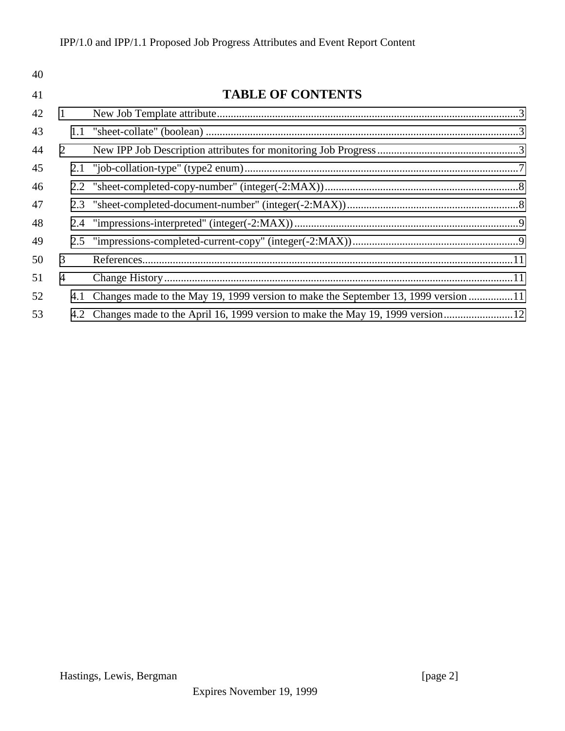| 40 |     |                                                                                    |  |
|----|-----|------------------------------------------------------------------------------------|--|
| 41 |     | <b>TABLE OF CONTENTS</b>                                                           |  |
| 42 | 1   |                                                                                    |  |
| 43 |     |                                                                                    |  |
| 44 | 2   |                                                                                    |  |
| 45 |     |                                                                                    |  |
| 46 |     |                                                                                    |  |
| 47 |     |                                                                                    |  |
| 48 |     |                                                                                    |  |
| 49 |     |                                                                                    |  |
| 50 | 3   |                                                                                    |  |
| 51 | 4   |                                                                                    |  |
| 52 | 4.1 | Changes made to the May 19, 1999 version to make the September 13, 1999 version 11 |  |
| 53 |     | 4.2 Changes made to the April 16, 1999 version to make the May 19, 1999 version    |  |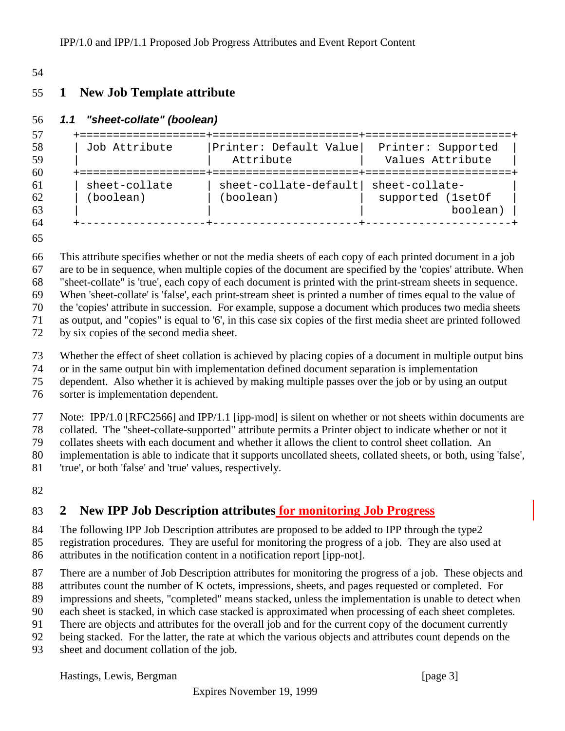#### <span id="page-2-0"></span>

## **1 New Job Template attribute**

#### *1.1 "sheet-collate" (boolean)*

```
57 +===================+======================+======================+
58 | Job Attribute |Printer: Default Value| Printer: Supported |
59 | | Attribute | Values Attribute
60 +===================+======================+======================+
61 | sheet-collate | sheet-collate-default| sheet-collate- |
62 | (boolean) | (boolean) | supported (1setOf |
63 | | | boolean) |
64 +-------------------+----------------------+----------------------+
```
 This attribute specifies whether or not the media sheets of each copy of each printed document in a job are to be in sequence, when multiple copies of the document are specified by the 'copies' attribute. When "sheet-collate" is 'true', each copy of each document is printed with the print-stream sheets in sequence. When 'sheet-collate' is 'false', each print-stream sheet is printed a number of times equal to the value of the 'copies' attribute in succession. For example, suppose a document which produces two media sheets as output, and "copies" is equal to '6', in this case six copies of the first media sheet are printed followed

by six copies of the second media sheet.

Whether the effect of sheet collation is achieved by placing copies of a document in multiple output bins

or in the same output bin with implementation defined document separation is implementation

dependent. Also whether it is achieved by making multiple passes over the job or by using an output

sorter is implementation dependent.

Note: IPP/1.0 [RFC2566] and IPP/1.1 [ipp-mod] is silent on whether or not sheets within documents are

collated. The "sheet-collate-supported" attribute permits a Printer object to indicate whether or not it

collates sheets with each document and whether it allows the client to control sheet collation. An

implementation is able to indicate that it supports uncollated sheets, collated sheets, or both, using 'false',

- 'true', or both 'false' and 'true' values, respectively.
- 

## **2 New IPP Job Description attributes for monitoring Job Progress**

84 The following IPP Job Description attributes are proposed to be added to IPP through the type2

registration procedures. They are useful for monitoring the progress of a job. They are also used at

attributes in the notification content in a notification report [ipp-not].

There are a number of Job Description attributes for monitoring the progress of a job. These objects and

attributes count the number of K octets, impressions, sheets, and pages requested or completed. For

impressions and sheets, "completed" means stacked, unless the implementation is unable to detect when

- each sheet is stacked, in which case stacked is approximated when processing of each sheet completes.
- There are objects and attributes for the overall job and for the current copy of the document currently
- being stacked. For the latter, the rate at which the various objects and attributes count depends on the
- sheet and document collation of the job.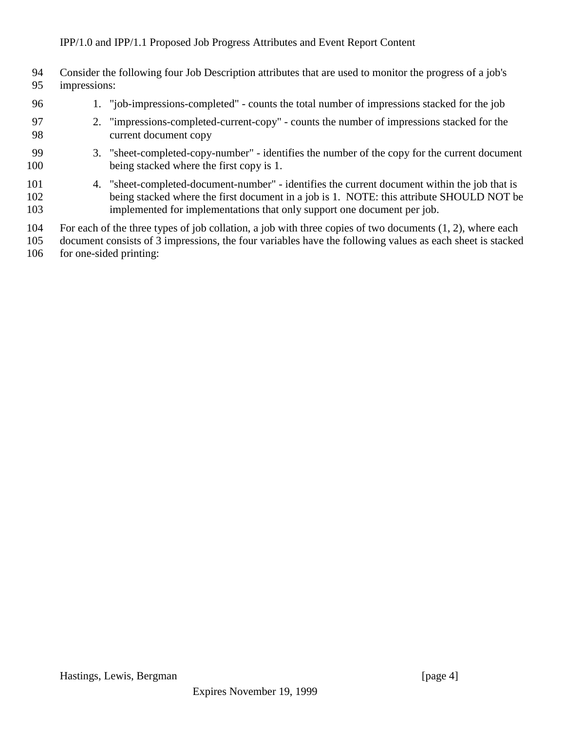| 94<br>95          | impressions: | Consider the following four Job Description attributes that are used to monitor the progress of a job's                                                                                                                                                              |
|-------------------|--------------|----------------------------------------------------------------------------------------------------------------------------------------------------------------------------------------------------------------------------------------------------------------------|
| 96                |              | 1. "job-impressions-completed" - counts the total number of impressions stacked for the job                                                                                                                                                                          |
| 97<br>98          |              | 2. "impressions-completed-current-copy" - counts the number of impressions stacked for the<br>current document copy                                                                                                                                                  |
| 99<br>100         |              | 3. "sheet-completed-copy-number" - identifies the number of the copy for the current document<br>being stacked where the first copy is 1.                                                                                                                            |
| 101<br>102<br>103 |              | 4. "sheet-completed-document-number" - identifies the current document within the job that is<br>being stacked where the first document in a job is 1. NOTE: this attribute SHOULD NOT be<br>implemented for implementations that only support one document per job. |
| 104<br>105        |              | For each of the three types of job collation, a job with three copies of two documents $(1, 2)$ , where each<br>document consists of 3 impressions, the four variables have the following values as each sheet is stacked                                            |

106 for one-sided printing: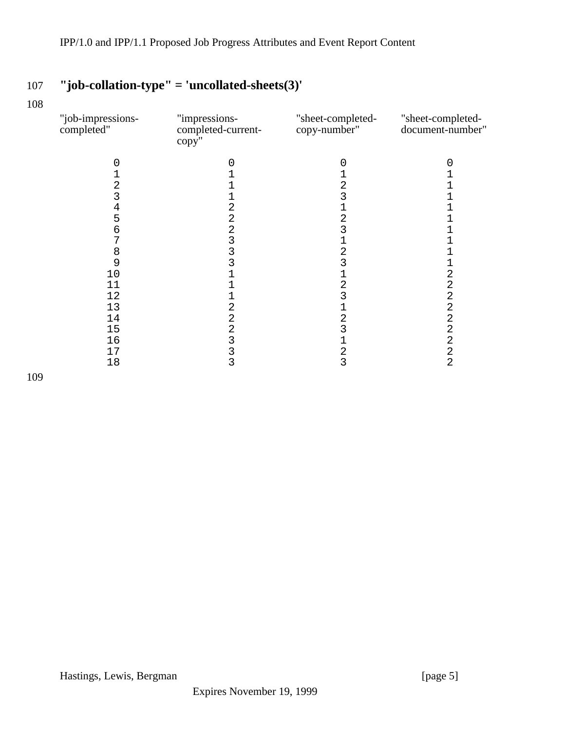# 107 **"job-collation-type" = 'uncollated-sheets(3)'**

108

| "job-impressions-<br>completed" | "impressions-<br>completed-current-<br>copy'' | "sheet-completed-<br>copy-number" | "sheet-completed-<br>document-number" |
|---------------------------------|-----------------------------------------------|-----------------------------------|---------------------------------------|
| 0                               |                                               | 0                                 | O                                     |
|                                 |                                               |                                   |                                       |
| 2                               |                                               | 2                                 |                                       |
| 3                               |                                               | 3                                 |                                       |
| 4                               | 2                                             |                                   |                                       |
| 5                               | $\overline{c}$                                | $\overline{c}$                    |                                       |
| 6                               | $\overline{c}$                                | 3                                 |                                       |
| 7                               | 3                                             | 1                                 |                                       |
| 8                               | 3                                             | $\overline{2}$                    |                                       |
| 9                               | 3                                             | 3                                 |                                       |
| 10                              |                                               |                                   | 2                                     |
| 11                              |                                               | $\overline{c}$                    | $\overline{c}$                        |
| 12                              |                                               | 3                                 | $\overline{\mathbf{c}}$               |
| 13                              | 2                                             |                                   | $\sqrt{2}$                            |
| 14                              | $\overline{c}$<br>$\overline{2}$              | 2<br>3                            | $\overline{a}$<br>$\overline{2}$      |
| 15<br>16                        | 3                                             | $\mathbf{1}$                      | $\overline{c}$                        |
| 17                              | 3                                             | $\overline{c}$                    | $\overline{c}$                        |
| 18                              | 3                                             | 3                                 | $\overline{2}$                        |
|                                 |                                               |                                   |                                       |

109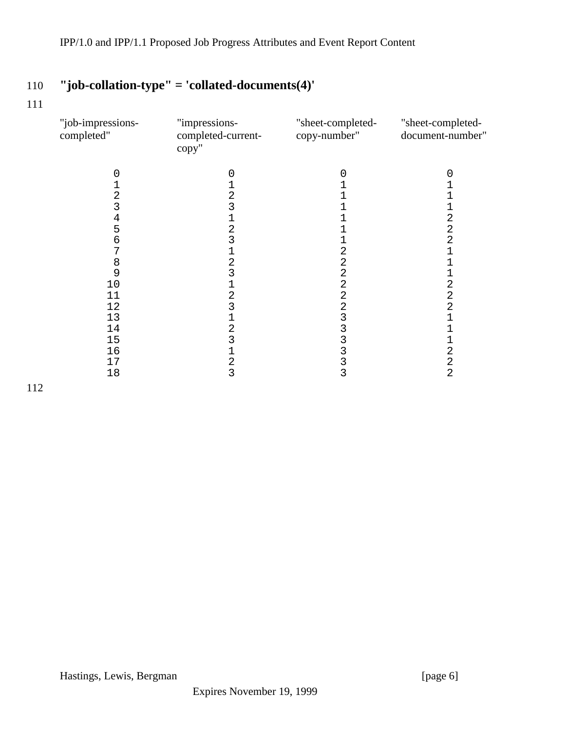# 110 **"job-collation-type" = 'collated-documents(4)'**

111

| "job-impressions-<br>completed" | "impressions-<br>completed-current-<br>copy" | "sheet-completed-<br>copy-number" | "sheet-completed-<br>document-number" |
|---------------------------------|----------------------------------------------|-----------------------------------|---------------------------------------|
|                                 | 0                                            |                                   |                                       |
|                                 |                                              |                                   |                                       |
| 2                               | 2                                            |                                   |                                       |
|                                 |                                              |                                   |                                       |
| 4                               |                                              |                                   | 2                                     |
| 5                               | 2                                            |                                   | 2                                     |
| 6                               | 3                                            |                                   | $\overline{2}$                        |
|                                 |                                              |                                   |                                       |
| 8                               | 2                                            | 2                                 |                                       |
| 9                               | 3                                            | 2                                 |                                       |
| 10                              |                                              |                                   | 2                                     |
| 11                              | $\overline{c}$                               | 2                                 | 2                                     |
| 12                              | 3                                            | 2                                 | 2                                     |
| 13                              |                                              |                                   |                                       |
| $14\,$                          | 2                                            |                                   |                                       |
| 15                              | 3                                            |                                   |                                       |
| 16                              |                                              |                                   | 2                                     |
| 17                              | 2                                            | 3                                 | $\overline{a}$                        |
| 18                              | 3                                            | 3                                 | $\overline{2}$                        |
|                                 |                                              |                                   |                                       |

112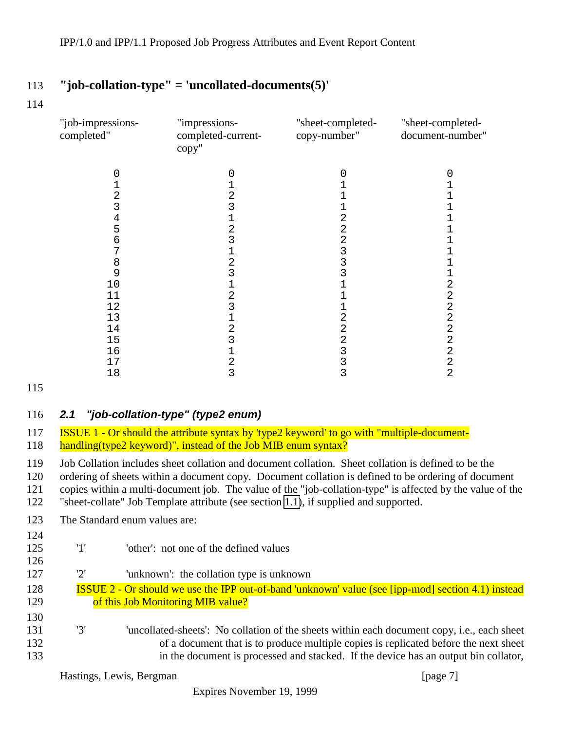## <span id="page-6-0"></span>113 **"job-collation-type" = 'uncollated-documents(5)'**

114

| "job-impressions-<br>completed" | "impressions-<br>completed-current-<br>copy" | "sheet-completed-<br>copy-number" | "sheet-completed-<br>document-number" |
|---------------------------------|----------------------------------------------|-----------------------------------|---------------------------------------|
|                                 |                                              |                                   |                                       |
|                                 | $\overline{c}$                               |                                   |                                       |
| 2                               | 3                                            |                                   |                                       |
| 4                               |                                              |                                   |                                       |
| 5                               | 2                                            |                                   |                                       |
| h                               |                                              |                                   |                                       |
|                                 |                                              |                                   |                                       |
| 8                               | 2                                            |                                   |                                       |
| 9                               | 3                                            |                                   |                                       |
| 10                              |                                              |                                   | 2                                     |
| 11                              | 2                                            |                                   | 2                                     |
| 12                              | 3                                            |                                   | 2                                     |
| 13                              |                                              |                                   | 2                                     |
| 14                              | 2                                            |                                   | 2                                     |
| 15                              |                                              |                                   | 2                                     |
| 16                              |                                              |                                   | $\overline{2}$                        |
| 17                              | 2                                            |                                   | 2                                     |
| 18                              | 3                                            | 3                                 | 2                                     |

115

#### 116 *2.1 "job-collation-type" (type2 enum)*

117 ISSUE 1 - Or should the attribute syntax by 'type2 keyword' to go with "multiple-document-118 handling(type2 keyword)", instead of the Job MIB enum syntax?

 Job Collation includes sheet collation and document collation. Sheet collation is defined to be the ordering of sheets within a document copy. Document collation is defined to be ordering of document copies within a multi-document job. The value of the "job-collation-type" is affected by the value of the "sheet-collate" Job Template attribute (see section [1.1\)](#page-2-0), if supplied and supported.

123 The Standard enum values are:

124

126

125 '1' 'other': not one of the defined values

- 127 '2' 'unknown': the collation type is unknown
- 128 ISSUE 2 Or should we use the IPP out-of-band 'unknown' value (see [ipp-mod] section 4.1) instead 129 **of this Job Monitoring MIB value?**
- 130 131 '3' 'uncollated-sheets': No collation of the sheets within each document copy, i.e., each sheet 132 of a document that is to produce multiple copies is replicated before the next sheet 133 in the document is processed and stacked. If the device has an output bin collator,

Hastings, Lewis, Bergman [page 7]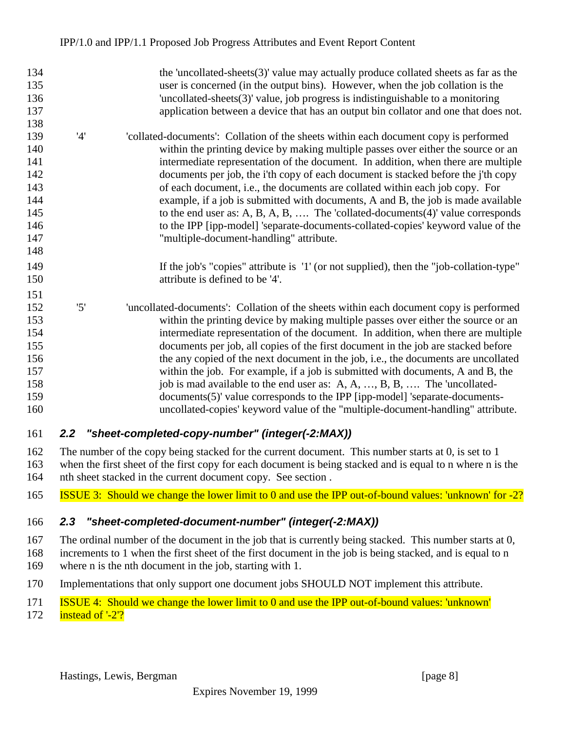<span id="page-7-0"></span>

| 134 |     | the 'uncollated-sheets $(3)$ ' value may actually produce collated sheets as far as the |
|-----|-----|-----------------------------------------------------------------------------------------|
| 135 |     | user is concerned (in the output bins). However, when the job collation is the          |
| 136 |     | 'uncollated-sheets(3)' value, job progress is indistinguishable to a monitoring         |
| 137 |     | application between a device that has an output bin collator and one that does not.     |
| 138 |     |                                                                                         |
| 139 | '4' | collated-documents': Collation of the sheets within each document copy is performed     |
| 140 |     | within the printing device by making multiple passes over either the source or an       |
| 141 |     | intermediate representation of the document. In addition, when there are multiple       |
| 142 |     | documents per job, the i'th copy of each document is stacked before the j'th copy       |
| 143 |     | of each document, i.e., the documents are collated within each job copy. For            |
| 144 |     | example, if a job is submitted with documents, A and B, the job is made available       |
| 145 |     | to the end user as: A, B, A, B,  The 'collated-documents $(4)$ ' value corresponds      |
| 146 |     | to the IPP [ipp-model] 'separate-documents-collated-copies' keyword value of the        |
| 147 |     | "multiple-document-handling" attribute.                                                 |
| 148 |     |                                                                                         |
| 149 |     | If the job's "copies" attribute is '1' (or not supplied), then the "job-collation-type" |
| 150 |     | attribute is defined to be '4'.                                                         |
| 151 |     |                                                                                         |
| 152 | '5' | 'uncollated-documents': Collation of the sheets within each document copy is performed  |
| 153 |     | within the printing device by making multiple passes over either the source or an       |
| 154 |     | intermediate representation of the document. In addition, when there are multiple       |
| 155 |     | documents per job, all copies of the first document in the job are stacked before       |
| 156 |     | the any copied of the next document in the job, i.e., the documents are uncollated      |
| 157 |     | within the job. For example, if a job is submitted with documents, A and B, the         |
| 158 |     | job is mad available to the end user as: A, A, , B, B,  The 'uncollated-                |
| 159 |     | documents(5)' value corresponds to the IPP [ipp-model] 'separate-documents-             |
| 160 |     | uncollated-copies' keyword value of the "multiple-document-handling" attribute.         |
|     |     |                                                                                         |

### *2.2 "sheet-completed-copy-number" (integer(-2:MAX))*

 The number of the copy being stacked for the current document. This number starts at 0, is set to 1 when the first sheet of the first copy for each document is being stacked and is equal to n where n is the nth sheet stacked in the current document copy. See section .

ISSUE 3: Should we change the lower limit to 0 and use the IPP out-of-bound values: 'unknown' for -2?

### *2.3 "sheet-completed-document-number" (integer(-2:MAX))*

The ordinal number of the document in the job that is currently being stacked. This number starts at 0,

- increments to 1 when the first sheet of the first document in the job is being stacked, and is equal to n
- where n is the nth document in the job, starting with 1.
- Implementations that only support one document jobs SHOULD NOT implement this attribute.
- ISSUE 4: Should we change the lower limit to 0 and use the IPP out-of-bound values: 'unknown'
- **instead of '-2'?**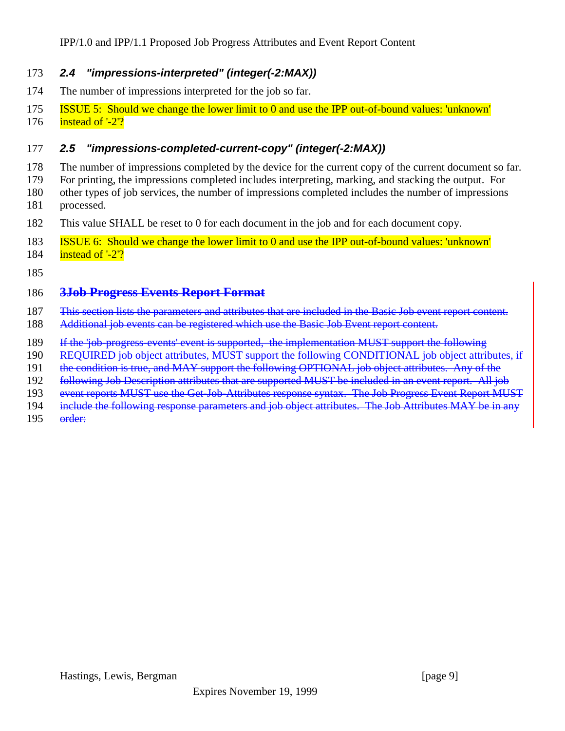#### <span id="page-8-0"></span>*2.4 "impressions-interpreted" (integer(-2:MAX))*

- The number of impressions interpreted for the job so far.
- ISSUE 5: Should we change the lower limit to 0 and use the IPP out-of-bound values: 'unknown'
- **instead of '-2'?**

#### *2.5 "impressions-completed-current-copy" (integer(-2:MAX))*

- The number of impressions completed by the device for the current copy of the current document so far.
- For printing, the impressions completed includes interpreting, marking, and stacking the output. For
- other types of job services, the number of impressions completed includes the number of impressions processed.
- This value SHALL be reset to 0 for each document in the job and for each document copy.
- ISSUE 6: Should we change the lower limit to 0 and use the IPP out-of-bound values: 'unknown'
- 184  $\frac{\text{instead of } -2\text{'}}{2}$

#### **3Job Progress Events Report Format**

- This section lists the parameters and attributes that are included in the Basic Job event report content.
- Additional job events can be registered which use the Basic Job Event report content.
- If the 'job-progress-events' event is supported, the implementation MUST support the following
- REQUIRED job object attributes, MUST support the following CONDITIONAL job object attributes, if
- 191 the condition is true, and MAY support the following OPTIONAL job object attributes. Any of the
- 192 following Job Description attributes that are supported MUST be included in an event report. All job
- event reports MUST use the Get-Job-Attributes response syntax. The Job Progress Event Report MUST
- 194 include the following response parameters and job object attributes. The Job Attributes MAY be in any
- order: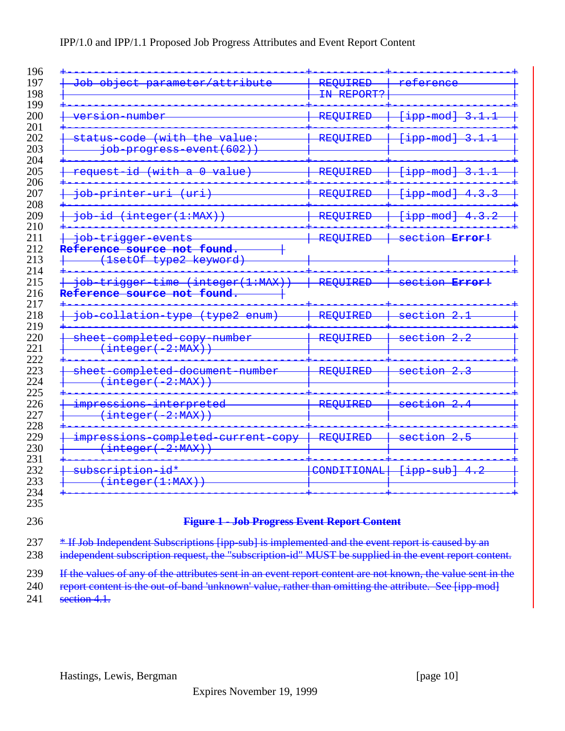#### IPP/1.0 and IPP/1.1 Proposed Job Progress Attributes and Event Report Content

| attribute<br><del>Job</del><br><del>object</del><br>parameter/                                  | REQUIRED<br>IN REPORT? | refer<br><del>ence</del>                 |
|-------------------------------------------------------------------------------------------------|------------------------|------------------------------------------|
| <del>version number</del>                                                                       | REQUIRED               | [ipp mod]<br>3.                          |
| <del>code</del><br>(with the<br><del>status</del><br><del>va Lue</del>                          | REQUIRED               | <del>[ipp mod]</del><br>3                |
| <del>job progress event(602)</del> )                                                            |                        |                                          |
| $\pm \text{d}$<br><del>(with</del><br>$\theta$<br><del>request</del><br>$\overline{\mathtt{a}}$ | REQUIRED               | <del>mod]</del><br><del>qqi]</del>       |
| <del>job printer uri</del><br><del>(uri</del>                                                   | REQUIRED               | [ipp mod]<br><del>4.3.3</del>            |
| <del>job id (integer(1:MAX))</del>                                                              | REQUIRED               | <del>[ipp mod]</del><br>$\overline{4}$ . |
| <del>doj</del><br><del>trigger events</del>                                                     | REQUIRED               | section Error!                           |
| Reference source not found.                                                                     |                        |                                          |
| type2 keyword)<br>(lsetOf                                                                       |                        |                                          |
| trigger time (integer(1:MAX)<br><del>dot</del>                                                  | REQUIRED               | section Error!                           |
| Reference source not found.                                                                     |                        |                                          |
| collation<br><del>(type2</del><br><del>doj</del><br><del>enum)</del><br><del>type</del>         | REQUIRED               | -2<br><del>section</del>                 |
| sheet completed copy number<br>(integer( 2:MAX))                                                | REQUIRED               | $-2$ . 2<br><del>section</del>           |
| -completed document number<br><del>sheet</del>                                                  | REQUIRED               | section 2.                               |
| (integer( 2:MAX))                                                                               |                        | $\overline{2}$<br><del>section</del>     |
| interpreted<br>impressions<br>(integer( 2:MAX))                                                 | REQUIRED               |                                          |
| impressions completed current<br>eopy<br>(integer( 2:MAX))                                      | REQUIRED               | $\rightarrow$<br><del>section</del>      |

#### **Figure 1 - Job Progress Event Report Content**

237 \* If Job Independent Subscriptions [ipp-sub] is implemented and the event report is caused by an

238 independent subscription request, the "subscription-id" MUST be supplied in the event report content.

239 If the values of any of the attributes sent in an event report content are not known, the value sent in the

240 report content is the out-of-band 'unknown' value, rather than omitting the attribute. See [ipp-mod] **section 4.1.**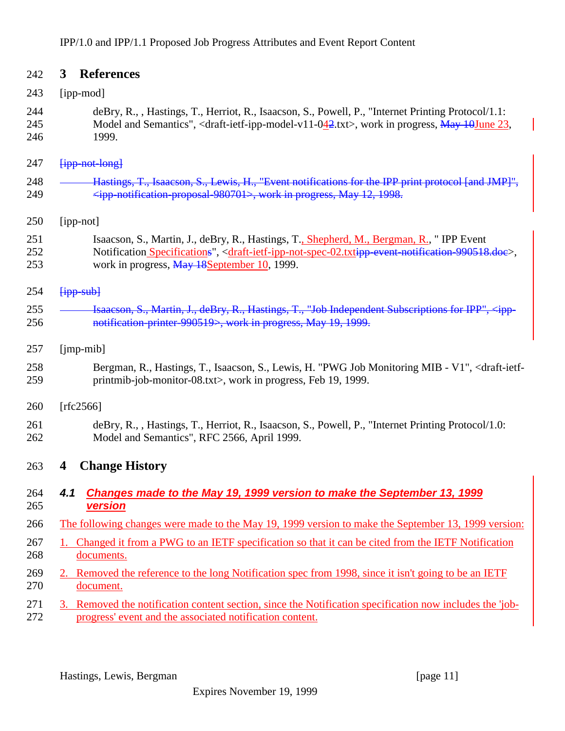<span id="page-10-0"></span>

| 242               | <b>References</b><br>$3^{\circ}$                                                                                                                                                                                                                                                                               |
|-------------------|----------------------------------------------------------------------------------------------------------------------------------------------------------------------------------------------------------------------------------------------------------------------------------------------------------------|
| 243               | [ipp-mod]                                                                                                                                                                                                                                                                                                      |
| 244<br>245<br>246 | deBry, R., , Hastings, T., Herriot, R., Isaacson, S., Powell, P., "Internet Printing Protocol/1.1:<br>Model and Semantics", <draft-ietf-ipp-model-v11-042.txt>, work in progress, May 10June 23,<br/>1999.</draft-ietf-ipp-model-v11-042.txt>                                                                  |
| 247               | <b>fipp-not-long</b>                                                                                                                                                                                                                                                                                           |
| 248<br>249        | Hastings, T., Isaacson, S., Lewis, H., "Event notifications for the IPP print protocol [and JMP]",<br><ipp 980701="" notification="" proposal="">, work in progress, May 12, 1998.</ipp>                                                                                                                       |
| 250               | [ipp-not]                                                                                                                                                                                                                                                                                                      |
| 251<br>252<br>253 | Isaacson, S., Martin, J., deBry, R., Hastings, T., Shepherd, M., Bergman, R., "IPP Event<br>Notification Specifications", <draft-ietf-ipp-not-spec-02.txtipp-event-notification-990518.doe>,<br/>work in progress, May 18September 10, 1999.</draft-ietf-ipp-not-spec-02.txtipp-event-notification-990518.doe> |
| 254               | $[$ ipp sub $]$                                                                                                                                                                                                                                                                                                |
| 255<br>256        | Isaacson, S., Martin, J., deBry, R., Hastings, T., "Job Independent Subscriptions for IPP",<br>notification printer 990519>, work in progress, May 19, 1999.                                                                                                                                                   |
| 257               | $[imp-mib]$                                                                                                                                                                                                                                                                                                    |
| 258<br>259        | Bergman, R., Hastings, T., Isaacson, S., Lewis, H. "PWG Job Monitoring MIB - V1", <draft-ietf-<br>printmib-job-monitor-08.txt&gt;, work in progress, Feb 19, 1999.</draft-ietf-<br>                                                                                                                            |
| 260               | [rfc2566]                                                                                                                                                                                                                                                                                                      |
| 261<br>262        | deBry, R., , Hastings, T., Herriot, R., Isaacson, S., Powell, P., "Internet Printing Protocol/1.0:<br>Model and Semantics", RFC 2566, April 1999.                                                                                                                                                              |
| 263               | <b>Change History</b><br>4                                                                                                                                                                                                                                                                                     |
| 264<br>265        | 4.1<br>Changes made to the May 19, 1999 version to make the September 13, 1999<br><b>version</b>                                                                                                                                                                                                               |
| 266               | The following changes were made to the May 19, 1999 version to make the September 13, 1999 version:                                                                                                                                                                                                            |
| 267<br>268        | 1. Changed it from a PWG to an IETF specification so that it can be cited from the IETF Notification<br>documents.                                                                                                                                                                                             |
| 269<br>270        | 2. Removed the reference to the long Notification spec from 1998, since it isn't going to be an IETF<br>document.                                                                                                                                                                                              |
| 271<br>272        | 3. Removed the notification content section, since the Notification specification now includes the 'job-<br>progress' event and the associated notification content.                                                                                                                                           |